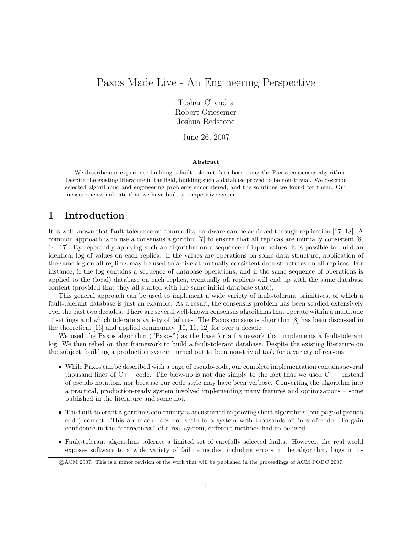# Paxos Made Live - An Engineering Perspective

Tushar Chandra Robert Griesemer Joshua Redstone

June 26, 2007

#### Abstract

We describe our experience building a fault-tolerant data-base using the Paxos consensus algorithm. Despite the existing literature in the field, building such a database proved to be non-trivial. We describe selected algorithmic and engineering problems encountered, and the solutions we found for them. Our measurements indicate that we have built a competitive system.

# 1 Introduction

It is well known that fault-tolerance on commodity hardware can be achieved through replication [17, 18]. A common approach is to use a consensus algorithm [7] to ensure that all replicas are mutually consistent [8, 14, 17]. By repeatedly applying such an algorithm on a sequence of input values, it is possible to build an identical log of values on each replica. If the values are operations on some data structure, application of the same log on all replicas may be used to arrive at mutually consistent data structures on all replicas. For instance, if the log contains a sequence of database operations, and if the same sequence of operations is applied to the (local) database on each replica, eventually all replicas will end up with the same database content (provided that they all started with the same initial database state).

This general approach can be used to implement a wide variety of fault-tolerant primitives, of which a fault-tolerant database is just an example. As a result, the consensus problem has been studied extensively over the past two decades. There are several well-known consensus algorithms that operate within a multitude of settings and which tolerate a variety of failures. The Paxos consensus algorithm [8] has been discussed in the theoretical [16] and applied community [10, 11, 12] for over a decade.

We used the Paxos algorithm ("Paxos") as the base for a framework that implements a fault-tolerant log. We then relied on that framework to build a fault-tolerant database. Despite the existing literature on the subject, building a production system turned out to be a non-trivial task for a variety of reasons:

- While Paxos can be described with a page of pseudo-code, our complete implementation contains several thousand lines of  $C_{++}$  code. The blow-up is not due simply to the fact that we used  $C_{++}$  instead of pseudo notation, nor because our code style may have been verbose. Converting the algorithm into a practical, production-ready system involved implementing many features and optimizations – some published in the literature and some not.
- The fault-tolerant algorithms community is accustomed to proving short algorithms (one page of pseudo code) correct. This approach does not scale to a system with thousands of lines of code. To gain confidence in the "correctness" of a real system, different methods had to be used.
- Fault-tolerant algorithms tolerate a limited set of carefully selected faults. However, the real world exposes software to a wide variety of failure modes, including errors in the algorithm, bugs in its

c ACM 2007. This is a minor revision of the work that will be published in the proceedings of ACM PODC 2007.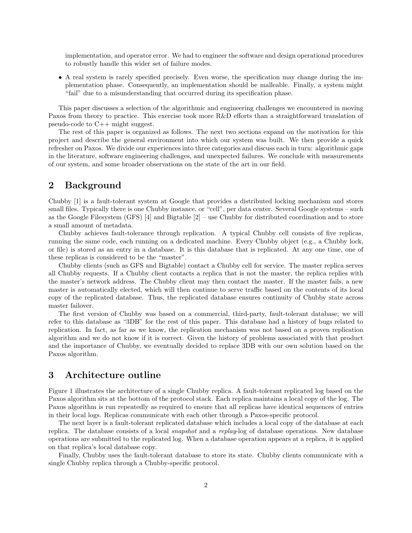implementation, and operator error. We had to engineer the software and design operational procedures to robustly handle this wider set of failure modes.

• A real system is rarely specified precisely. Even worse, the specification may change during the implementation phase. Consequently, an implementation should be malleable. Finally, a system might "fail" due to a misunderstanding that occurred during its specification phase.

This paper discusses a selection of the algorithmic and engineering challenges we encountered in moving Paxos from theory to practice. This exercise took more R&D efforts than a straightforward translation of pseudo-code to  $C_{++}$  might suggest.

The rest of this paper is organized as follows. The next two sections expand on the motivation for this project and describe the general environment into which our system was built. We then provide a quick refresher on Paxos. We divide our experiences into three categories and discuss each in turn: algorithmic gaps in the literature, software engineering challenges, and unexpected failures. We conclude with measurements of our system, and some broader observations on the state of the art in our field.

# 2 Background

Chubby [1] is a fault-tolerant system at Google that provides a distributed locking mechanism and stores small files. Typically there is one Chubby instance, or "cell", per data center. Several Google systems – such as the Google Filesystem (GFS)  $[4]$  and Bigtable  $[2]$  – use Chubby for distributed coordination and to store a small amount of metadata.

Chubby achieves fault-tolerance through replication. A typical Chubby cell consists of five replicas, running the same code, each running on a dedicated machine. Every Chubby object (e.g., a Chubby lock, or file) is stored as an entry in a database. It is this database that is replicated. At any one time, one of these replicas is considered to be the "master".

Chubby clients (such as GFS and Bigtable) contact a Chubby cell for service. The master replica serves all Chubby requests. If a Chubby client contacts a replica that is not the master, the replica replies with the master's network address. The Chubby client may then contact the master. If the master fails, a new master is automatically elected, which will then continue to serve traffic based on the contents of its local copy of the replicated database. Thus, the replicated database ensures continuity of Chubby state across master failover.

The first version of Chubby was based on a commercial, third-party, fault-tolerant database; we will refer to this database as "3DB" for the rest of this paper. This database had a history of bugs related to replication. In fact, as far as we know, the replication mechanism was not based on a proven replication algorithm and we do not know if it is correct. Given the history of problems associated with that product and the importance of Chubby, we eventually decided to replace 3DB with our own solution based on the Paxos algorithm.

# 3 Architecture outline

Figure 1 illustrates the architecture of a single Chubby replica. A fault-tolerant replicated log based on the Paxos algorithm sits at the bottom of the protocol stack. Each replica maintains a local copy of the log. The Paxos algorithm is run repeatedly as required to ensure that all replicas have identical sequences of entries in their local logs. Replicas communicate with each other through a Paxos-specific protocol.

The next layer is a fault-tolerant replicated database which includes a local copy of the database at each replica. The database consists of a local snapshot and a replay-log of database operations. New database operations are submitted to the replicated log. When a database operation appears at a replica, it is applied on that replica's local database copy.

Finally, Chubby uses the fault-tolerant database to store its state. Chubby clients communicate with a single Chubby replica through a Chubby-specific protocol.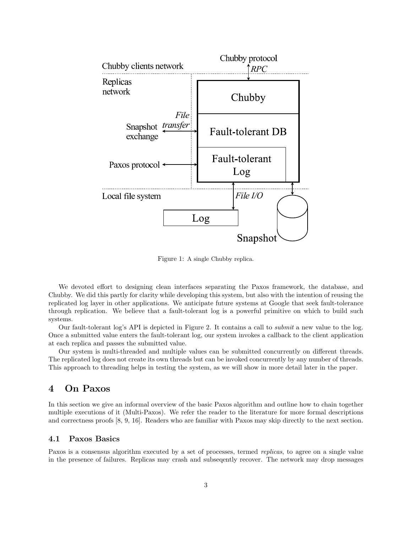

Figure 1: A single Chubby replica.

We devoted effort to designing clean interfaces separating the Paxos framework, the database, and Chubby. We did this partly for clarity while developing this system, but also with the intention of reusing the replicated log layer in other applications. We anticipate future systems at Google that seek fault-tolerance through replication. We believe that a fault-tolerant log is a powerful primitive on which to build such systems.

Our fault-tolerant log's API is depicted in Figure 2. It contains a call to submit a new value to the log. Once a submitted value enters the fault-tolerant log, our system invokes a callback to the client application at each replica and passes the submitted value.

Our system is multi-threaded and multiple values can be submitted concurrently on different threads. The replicated log does not create its own threads but can be invoked concurrently by any number of threads. This approach to threading helps in testing the system, as we will show in more detail later in the paper.

# 4 On Paxos

In this section we give an informal overview of the basic Paxos algorithm and outline how to chain together multiple executions of it (Multi-Paxos). We refer the reader to the literature for more formal descriptions and correctness proofs [8, 9, 16]. Readers who are familiar with Paxos may skip directly to the next section.

### 4.1 Paxos Basics

Paxos is a consensus algorithm executed by a set of processes, termed replicas, to agree on a single value in the presence of failures. Replicas may crash and subseqently recover. The network may drop messages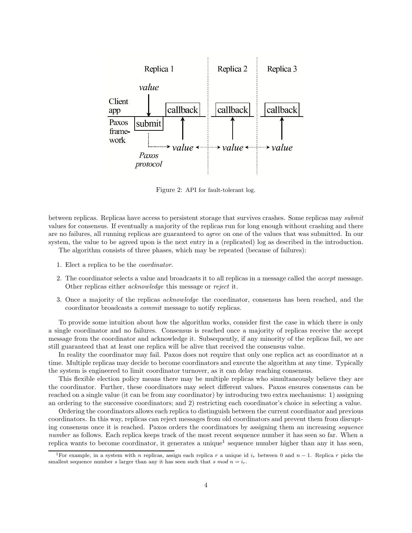

Figure 2: API for fault-tolerant log.

between replicas. Replicas have access to persistent storage that survives crashes. Some replicas may submit values for consensus. If eventually a majority of the replicas run for long enough without crashing and there are no failures, all running replicas are guaranteed to agree on one of the values that was submitted. In our system, the value to be agreed upon is the next entry in a (replicated) log as described in the introduction.

The algorithm consists of three phases, which may be repeated (because of failures):

- 1. Elect a replica to be the coordinator.
- 2. The coordinator selects a value and broadcasts it to all replicas in a message called the accept message. Other replicas either acknowledge this message or reject it.
- 3. Once a majority of the replicas acknowledge the coordinator, consensus has been reached, and the coordinator broadcasts a commit message to notify replicas.

To provide some intuition about how the algorithm works, consider first the case in which there is only a single coordinator and no failures. Consensus is reached once a majority of replicas receive the accept message from the coordinator and acknowledge it. Subsequently, if any minority of the replicas fail, we are still guaranteed that at least one replica will be alive that received the consensus value.

In reality the coordinator may fail. Paxos does not require that only one replica act as coordinator at a time. Multiple replicas may decide to become coordinators and execute the algorithm at any time. Typically the system is engineered to limit coordinator turnover, as it can delay reaching consensus.

This flexible election policy means there may be multiple replicas who simultaneously believe they are the coordinator. Further, these coordinators may select different values. Paxos ensures consensus can be reached on a single value (it can be from any coordinator) by introducing two extra mechanisms: 1) assigning an ordering to the successive coordinators; and 2) restricting each coordinator's choice in selecting a value.

Ordering the coordinators allows each replica to distinguish between the current coordinator and previous coordinators. In this way, replicas can reject messages from old coordinators and prevent them from disrupting consensus once it is reached. Paxos orders the coordinators by assigning them an increasing sequence number as follows. Each replica keeps track of the most recent sequence number it has seen so far. When a replica wants to become coordinator, it generates a unique<sup>1</sup> sequence number higher than any it has seen,

<sup>&</sup>lt;sup>1</sup>For example, in a system with n replicas, assign each replica r a unique id  $i_r$  between 0 and n – 1. Replica r picks the smallest sequence number s larger than any it has seen such that s mod  $n = i<sub>r</sub>$ .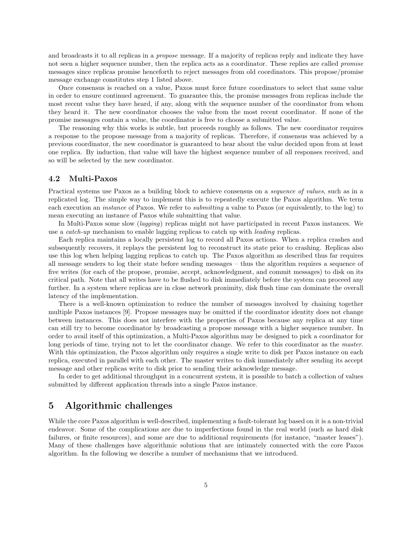and broadcasts it to all replicas in a propose message. If a majority of replicas reply and indicate they have not seen a higher sequence number, then the replica acts as a coordinator. These replies are called *promise* messages since replicas promise henceforth to reject messages from old coordinators. This propose/promise message exchange constitutes step 1 listed above.

Once consensus is reached on a value, Paxos must force future coordinators to select that same value in order to ensure continued agreement. To guarantee this, the promise messages from replicas include the most recent value they have heard, if any, along with the sequence number of the coordinator from whom they heard it. The new coordinator chooses the value from the most recent coordinator. If none of the promise messages contain a value, the coordinator is free to choose a submitted value.

The reasoning why this works is subtle, but proceeds roughly as follows. The new coordinator requires a response to the propose message from a majority of replicas. Therefore, if consensus was achieved by a previous coordinator, the new coordinator is guaranteed to hear about the value decided upon from at least one replica. By induction, that value will have the highest sequence number of all responses received, and so will be selected by the new coordinator.

### 4.2 Multi-Paxos

Practical systems use Paxos as a building block to achieve consensus on a sequence of values, such as in a replicated log. The simple way to implement this is to repeatedly execute the Paxos algorithm. We term each execution an instance of Paxos. We refer to submitting a value to Paxos (or equivalently, to the log) to mean executing an instance of Paxos while submitting that value.

In Multi-Paxos some slow *(lagging)* replicas might not have participated in recent Paxos instances. We use a catch-up mechanism to enable lagging replicas to catch up with leading replicas.

Each replica maintains a locally persistent log to record all Paxos actions. When a replica crashes and subsequently recovers, it replays the persistent log to reconstruct its state prior to crashing. Replicas also use this log when helping lagging replicas to catch up. The Paxos algorithm as described thus far requires all message senders to log their state before sending messages – thus the algorithm requires a sequence of five writes (for each of the propose, promise, accept, acknowledgment, and commit messages) to disk on its critical path. Note that all writes have to be flushed to disk immediately before the system can proceed any further. In a system where replicas are in close network proximity, disk flush time can dominate the overall latency of the implementation.

There is a well-known optimization to reduce the number of messages involved by chaining together multiple Paxos instances [9]. Propose messages may be omitted if the coordinator identity does not change between instances. This does not interfere with the properties of Paxos because any replica at any time can still try to become coordinator by broadcasting a propose message with a higher sequence number. In order to avail itself of this optimization, a Multi-Paxos algorithm may be designed to pick a coordinator for long periods of time, trying not to let the coordinator change. We refer to this coordinator as the master. With this optimization, the Paxos algorithm only requires a single write to disk per Paxos instance on each replica, executed in parallel with each other. The master writes to disk immediately after sending its accept message and other replicas write to disk prior to sending their acknowledge message.

In order to get additional throughput in a concurrent system, it is possible to batch a collection of values submitted by different application threads into a single Paxos instance.

# 5 Algorithmic challenges

While the core Paxos algorithm is well-described, implementing a fault-tolerant log based on it is a non-trivial endeavor. Some of the complications are due to imperfections found in the real world (such as hard disk failures, or finite resources), and some are due to additional requirements (for instance, "master leases"). Many of these challenges have algorithmic solutions that are intimately connected with the core Paxos algorithm. In the following we describe a number of mechanisms that we introduced.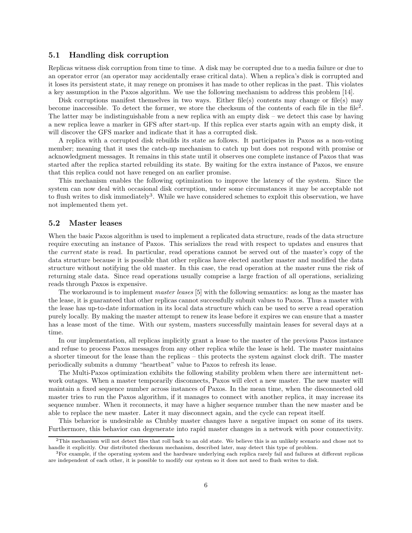### 5.1 Handling disk corruption

Replicas witness disk corruption from time to time. A disk may be corrupted due to a media failure or due to an operator error (an operator may accidentally erase critical data). When a replica's disk is corrupted and it loses its persistent state, it may renege on promises it has made to other replicas in the past. This violates a key assumption in the Paxos algorithm. We use the following mechanism to address this problem [14].

Disk corruptions manifest themselves in two ways. Either file(s) contents may change or file(s) may become inaccessible. To detect the former, we store the checksum of the contents of each file in the file<sup>2</sup>. The latter may be indistinguishable from a new replica with an empty disk – we detect this case by having a new replica leave a marker in GFS after start-up. If this replica ever starts again with an empty disk, it will discover the GFS marker and indicate that it has a corrupted disk.

A replica with a corrupted disk rebuilds its state as follows. It participates in Paxos as a non-voting member; meaning that it uses the catch-up mechanism to catch up but does not respond with promise or acknowledgment messages. It remains in this state until it observes one complete instance of Paxos that was started after the replica started rebuilding its state. By waiting for the extra instance of Paxos, we ensure that this replica could not have reneged on an earlier promise.

This mechanism enables the following optimization to improve the latency of the system. Since the system can now deal with occasional disk corruption, under some circumstances it may be acceptable not to flush writes to disk immediately<sup>3</sup>. While we have considered schemes to exploit this observation, we have not implemented them yet.

#### 5.2 Master leases

When the basic Paxos algorithm is used to implement a replicated data structure, reads of the data structure require executing an instance of Paxos. This serializes the read with respect to updates and ensures that the current state is read. In particular, read operations cannot be served out of the master's copy of the data structure because it is possible that other replicas have elected another master and modified the data structure without notifying the old master. In this case, the read operation at the master runs the risk of returning stale data. Since read operations usually comprise a large fraction of all operations, serializing reads through Paxos is expensive.

The workaround is to implement master leases [5] with the following semantics: as long as the master has the lease, it is guaranteed that other replicas cannot successfully submit values to Paxos. Thus a master with the lease has up-to-date information in its local data structure which can be used to serve a read operation purely locally. By making the master attempt to renew its lease before it expires we can ensure that a master has a lease most of the time. With our system, masters successfully maintain leases for several days at a time.

In our implementation, all replicas implicitly grant a lease to the master of the previous Paxos instance and refuse to process Paxos messages from any other replica while the lease is held. The master maintains a shorter timeout for the lease than the replicas – this protects the system against clock drift. The master periodically submits a dummy "heartbeat" value to Paxos to refresh its lease.

The Multi-Paxos optimization exhibits the following stability problem when there are intermittent network outages. When a master temporarily disconnects, Paxos will elect a new master. The new master will maintain a fixed sequence number across instances of Paxos. In the mean time, when the disconnected old master tries to run the Paxos algorithm, if it manages to connect with another replica, it may increase its sequence number. When it reconnects, it may have a higher sequence number than the new master and be able to replace the new master. Later it may disconnect again, and the cycle can repeat itself.

This behavior is undesirable as Chubby master changes have a negative impact on some of its users. Furthermore, this behavior can degenerate into rapid master changes in a network with poor connectivity.

 $2$ This mechanism will not detect files that roll back to an old state. We believe this is an unlikely scenario and chose not to handle it explicitly. Our distributed checksum mechanism, described later, may detect this type of problem.

<sup>3</sup>For example, if the operating system and the hardware underlying each replica rarely fail and failures at different replicas are independent of each other, it is possible to modify our system so it does not need to flush writes to disk.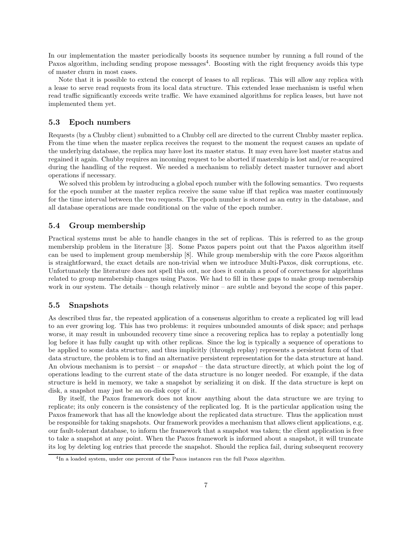In our implementation the master periodically boosts its sequence number by running a full round of the Paxos algorithm, including sending propose messages<sup>4</sup>. Boosting with the right frequency avoids this type of master churn in most cases.

Note that it is possible to extend the concept of leases to all replicas. This will allow any replica with a lease to serve read requests from its local data structure. This extended lease mechanism is useful when read traffic significantly exceeds write traffic. We have examined algorithms for replica leases, but have not implemented them yet.

### 5.3 Epoch numbers

Requests (by a Chubby client) submitted to a Chubby cell are directed to the current Chubby master replica. From the time when the master replica receives the request to the moment the request causes an update of the underlying database, the replica may have lost its master status. It may even have lost master status and regained it again. Chubby requires an incoming request to be aborted if mastership is lost and/or re-acquired during the handling of the request. We needed a mechanism to reliably detect master turnover and abort operations if necessary.

We solved this problem by introducing a global epoch number with the following semantics. Two requests for the epoch number at the master replica receive the same value iff that replica was master continuously for the time interval between the two requests. The epoch number is stored as an entry in the database, and all database operations are made conditional on the value of the epoch number.

### 5.4 Group membership

Practical systems must be able to handle changes in the set of replicas. This is referred to as the group membership problem in the literature [3]. Some Paxos papers point out that the Paxos algorithm itself can be used to implement group membership [8]. While group membership with the core Paxos algorithm is straightforward, the exact details are non-trivial when we introduce Multi-Paxos, disk corruptions, etc. Unfortunately the literature does not spell this out, nor does it contain a proof of correctness for algorithms related to group membership changes using Paxos. We had to fill in these gaps to make group membership work in our system. The details – though relatively minor – are subtle and beyond the scope of this paper.

#### 5.5 Snapshots

As described thus far, the repeated application of a consensus algorithm to create a replicated log will lead to an ever growing log. This has two problems: it requires unbounded amounts of disk space; and perhaps worse, it may result in unbounded recovery time since a recovering replica has to replay a potentially long log before it has fully caught up with other replicas. Since the log is typically a sequence of operations to be applied to some data structure, and thus implicitly (through replay) represents a persistent form of that data structure, the problem is to find an alternative persistent representation for the data structure at hand. An obvious mechanism is to persist – or *snapshot* – the data structure directly, at which point the log of operations leading to the current state of the data structure is no longer needed. For example, if the data structure is held in memory, we take a snapshot by serializing it on disk. If the data structure is kept on disk, a snapshot may just be an on-disk copy of it.

By itself, the Paxos framework does not know anything about the data structure we are trying to replicate; its only concern is the consistency of the replicated log. It is the particular application using the Paxos framework that has all the knowledge about the replicated data structure. Thus the application must be responsible for taking snapshots. Our framework provides a mechanism that allows client applications, e.g. our fault-tolerant database, to inform the framework that a snapshot was taken; the client application is free to take a snapshot at any point. When the Paxos framework is informed about a snapshot, it will truncate its log by deleting log entries that precede the snapshot. Should the replica fail, during subsequent recovery

<sup>&</sup>lt;sup>4</sup>In a loaded system, under one percent of the Paxos instances run the full Paxos algorithm.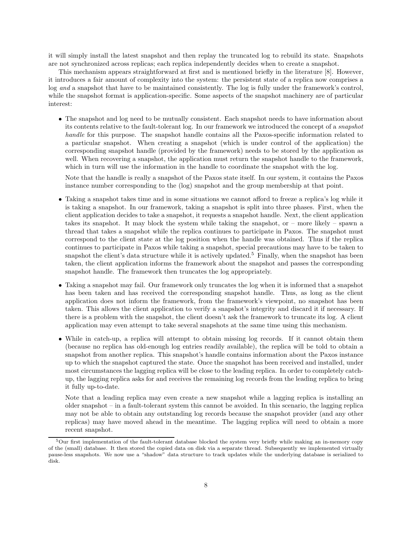it will simply install the latest snapshot and then replay the truncated log to rebuild its state. Snapshots are not synchronized across replicas; each replica independently decides when to create a snapshot.

This mechanism appears straightforward at first and is mentioned briefly in the literature [8]. However, it introduces a fair amount of complexity into the system: the persistent state of a replica now comprises a log and a snapshot that have to be maintained consistently. The log is fully under the framework's control, while the snapshot format is application-specific. Some aspects of the snapshot machinery are of particular interest:

• The snapshot and log need to be mutually consistent. Each snapshot needs to have information about its contents relative to the fault-tolerant log. In our framework we introduced the concept of a snapshot handle for this purpose. The snapshot handle contains all the Paxos-specific information related to a particular snapshot. When creating a snapshot (which is under control of the application) the corresponding snapshot handle (provided by the framework) needs to be stored by the application as well. When recovering a snapshot, the application must return the snapshot handle to the framework, which in turn will use the information in the handle to coordinate the snapshot with the log.

Note that the handle is really a snapshot of the Paxos state itself. In our system, it contains the Paxos instance number corresponding to the (log) snapshot and the group membership at that point.

- Taking a snapshot takes time and in some situations we cannot afford to freeze a replica's log while it is taking a snapshot. In our framework, taking a snapshot is split into three phases. First, when the client application decides to take a snapshot, it requests a snapshot handle. Next, the client application takes its snapshot. It may block the system while taking the snapshot, or – more likely – spawn a thread that takes a snapshot while the replica continues to participate in Paxos. The snapshot must correspond to the client state at the log position when the handle was obtained. Thus if the replica continues to participate in Paxos while taking a snapshot, special precautions may have to be taken to snapshot the client's data structure while it is actively updated.<sup>5</sup> Finally, when the snapshot has been taken, the client application informs the framework about the snapshot and passes the corresponding snapshot handle. The framework then truncates the log appropriately.
- Taking a snapshot may fail. Our framework only truncates the log when it is informed that a snapshot has been taken and has received the corresponding snapshot handle. Thus, as long as the client application does not inform the framework, from the framework's viewpoint, no snapshot has been taken. This allows the client application to verify a snapshot's integrity and discard it if necessary. If there is a problem with the snapshot, the client doesn't ask the framework to truncate its log. A client application may even attempt to take several snapshots at the same time using this mechanism.
- While in catch-up, a replica will attempt to obtain missing log records. If it cannot obtain them (because no replica has old-enough log entries readily available), the replica will be told to obtain a snapshot from another replica. This snapshot's handle contains information about the Paxos instance up to which the snapshot captured the state. Once the snapshot has been received and installed, under most circumstances the lagging replica will be close to the leading replica. In order to completely catchup, the lagging replica asks for and receives the remaining log records from the leading replica to bring it fully up-to-date.

Note that a leading replica may even create a new snapshot while a lagging replica is installing an older snapshot – in a fault-tolerant system this cannot be avoided. In this scenario, the lagging replica may not be able to obtain any outstanding log records because the snapshot provider (and any other replicas) may have moved ahead in the meantime. The lagging replica will need to obtain a more recent snapshot.

<sup>5</sup>Our first implementation of the fault-tolerant database blocked the system very briefly while making an in-memory copy of the (small) database. It then stored the copied data on disk via a separate thread. Subsequently we implemented virtually pause-less snapshots. We now use a "shadow" data structure to track updates while the underlying database is serialized to disk.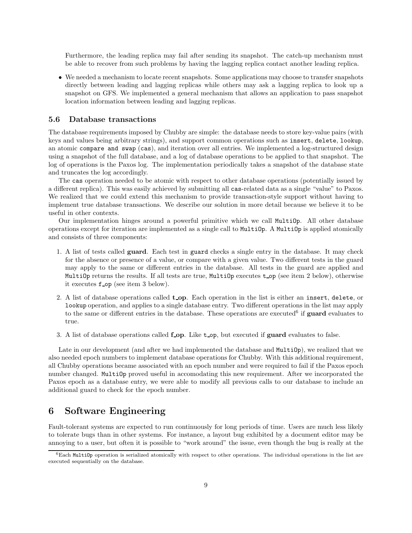Furthermore, the leading replica may fail after sending its snapshot. The catch-up mechanism must be able to recover from such problems by having the lagging replica contact another leading replica.

• We needed a mechanism to locate recent snapshots. Some applications may choose to transfer snapshots directly between leading and lagging replicas while others may ask a lagging replica to look up a snapshot on GFS. We implemented a general mechanism that allows an application to pass snapshot location information between leading and lagging replicas.

#### 5.6 Database transactions

The database requirements imposed by Chubby are simple: the database needs to store key-value pairs (with keys and values being arbitrary strings), and support common operations such as insert, delete, lookup, an atomic compare and swap (cas), and iteration over all entries. We implemented a log-structured design using a snapshot of the full database, and a log of database operations to be applied to that snapshot. The log of operations is the Paxos log. The implementation periodically takes a snapshot of the database state and truncates the log accordingly.

The cas operation needed to be atomic with respect to other database operations (potentially issued by a different replica). This was easily achieved by submitting all cas-related data as a single "value" to Paxos. We realized that we could extend this mechanism to provide transaction-style support without having to implement true database transactions. We describe our solution in more detail because we believe it to be useful in other contexts.

Our implementation hinges around a powerful primitive which we call MultiOp. All other database operations except for iteration are implemented as a single call to MultiOp. A MultiOp is applied atomically and consists of three components:

- 1. A list of tests called guard. Each test in guard checks a single entry in the database. It may check for the absence or presence of a value, or compare with a given value. Two different tests in the guard may apply to the same or different entries in the database. All tests in the guard are applied and MultiOp returns the results. If all tests are true, MultiOp executes top (see item 2 below), otherwise it executes f op (see item 3 below).
- 2. A list of database operations called **t\_op**. Each operation in the list is either an insert, delete, or lookup operation, and applies to a single database entry. Two different operations in the list may apply to the same or different entries in the database. These operations are executed<sup>6</sup> if **guard** evaluates to true.
- 3. A list of database operations called form. Like to p, but executed if guard evaluates to false.

Late in our development (and after we had implemented the database and MultiOp), we realized that we also needed epoch numbers to implement database operations for Chubby. With this additional requirement, all Chubby operations became associated with an epoch number and were required to fail if the Paxos epoch number changed. MultiOp proved useful in accomodating this new requirement. After we incorporated the Paxos epoch as a database entry, we were able to modify all previous calls to our database to include an additional guard to check for the epoch number.

# 6 Software Engineering

Fault-tolerant systems are expected to run continuously for long periods of time. Users are much less likely to tolerate bugs than in other systems. For instance, a layout bug exhibited by a document editor may be annoying to a user, but often it is possible to "work around" the issue, even though the bug is really at the

 $6$ Each MultiOp operation is serialized atomically with respect to other operations. The individual operations in the list are executed sequentially on the database.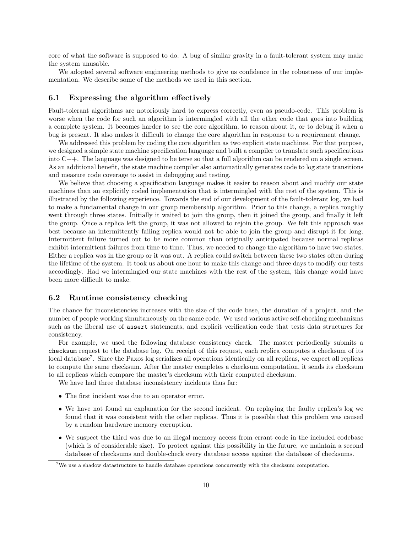core of what the software is supposed to do. A bug of similar gravity in a fault-tolerant system may make the system unusable.

We adopted several software engineering methods to give us confidence in the robustness of our implementation. We describe some of the methods we used in this section.

### 6.1 Expressing the algorithm effectively

Fault-tolerant algorithms are notoriously hard to express correctly, even as pseudo-code. This problem is worse when the code for such an algorithm is intermingled with all the other code that goes into building a complete system. It becomes harder to see the core algorithm, to reason about it, or to debug it when a bug is present. It also makes it difficult to change the core algorithm in response to a requirement change.

We addressed this problem by coding the core algorithm as two explicit state machines. For that purpose, we designed a simple state machine specification language and built a compiler to translate such specifications into C++. The language was designed to be terse so that a full algorithm can be rendered on a single screen. As an additional benefit, the state machine compiler also automatically generates code to log state transitions and measure code coverage to assist in debugging and testing.

We believe that choosing a specification language makes it easier to reason about and modify our state machines than an explicitly coded implementation that is intermingled with the rest of the system. This is illustrated by the following experience. Towards the end of our development of the fault-tolerant log, we had to make a fundamental change in our group membership algorithm. Prior to this change, a replica roughly went through three states. Initially it waited to join the group, then it joined the group, and finally it left the group. Once a replica left the group, it was not allowed to rejoin the group. We felt this approach was best because an intermittently failing replica would not be able to join the group and disrupt it for long. Intermittent failure turned out to be more common than originally anticipated because normal replicas exhibit intermittent failures from time to time. Thus, we needed to change the algorithm to have two states. Either a replica was in the group or it was out. A replica could switch between these two states often during the lifetime of the system. It took us about one hour to make this change and three days to modify our tests accordingly. Had we intermingled our state machines with the rest of the system, this change would have been more difficult to make.

#### 6.2 Runtime consistency checking

The chance for inconsistencies increases with the size of the code base, the duration of a project, and the number of people working simultaneously on the same code. We used various active self-checking mechanisms such as the liberal use of assert statements, and explicit verification code that tests data structures for consistency.

For example, we used the following database consistency check. The master periodically submits a checksum request to the database log. On receipt of this request, each replica computes a checksum of its local database<sup>7</sup> . Since the Paxos log serializes all operations identically on all replicas, we expect all replicas to compute the same checksum. After the master completes a checksum computation, it sends its checksum to all replicas which compare the master's checksum with their computed checksum.

We have had three database inconsistency incidents thus far:

- The first incident was due to an operator error.
- We have not found an explanation for the second incident. On replaying the faulty replica's log we found that it was consistent with the other replicas. Thus it is possible that this problem was caused by a random hardware memory corruption.
- We suspect the third was due to an illegal memory access from errant code in the included codebase (which is of considerable size). To protect against this possibility in the future, we maintain a second database of checksums and double-check every database access against the database of checksums.

<sup>&</sup>lt;sup>7</sup>We use a shadow datastructure to handle database operations concurrently with the checksum computation.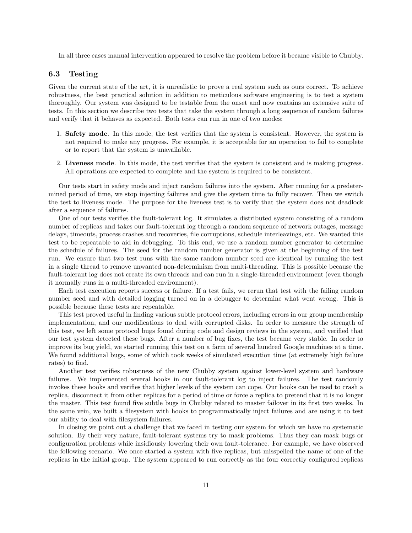In all three cases manual intervention appeared to resolve the problem before it became visible to Chubby.

### 6.3 Testing

Given the current state of the art, it is unrealistic to prove a real system such as ours correct. To achieve robustness, the best practical solution in addition to meticulous software engineering is to test a system thoroughly. Our system was designed to be testable from the onset and now contains an extensive suite of tests. In this section we describe two tests that take the system through a long sequence of random failures and verify that it behaves as expected. Both tests can run in one of two modes:

- 1. Safety mode. In this mode, the test verifies that the system is consistent. However, the system is not required to make any progress. For example, it is acceptable for an operation to fail to complete or to report that the system is unavailable.
- 2. Liveness mode. In this mode, the test verifies that the system is consistent and is making progress. All operations are expected to complete and the system is required to be consistent.

Our tests start in safety mode and inject random failures into the system. After running for a predetermined period of time, we stop injecting failures and give the system time to fully recover. Then we switch the test to liveness mode. The purpose for the liveness test is to verify that the system does not deadlock after a sequence of failures.

One of our tests verifies the fault-tolerant log. It simulates a distributed system consisting of a random number of replicas and takes our fault-tolerant log through a random sequence of network outages, message delays, timeouts, process crashes and recoveries, file corruptions, schedule interleavings, etc. We wanted this test to be repeatable to aid in debugging. To this end, we use a random number generator to determine the schedule of failures. The seed for the random number generator is given at the beginning of the test run. We ensure that two test runs with the same random number seed are identical by running the test in a single thread to remove unwanted non-determinism from multi-threading. This is possible because the fault-tolerant log does not create its own threads and can run in a single-threaded environment (even though it normally runs in a multi-threaded environment).

Each test execution reports success or failure. If a test fails, we rerun that test with the failing random number seed and with detailed logging turned on in a debugger to determine what went wrong. This is possible because these tests are repeatable.

This test proved useful in finding various subtle protocol errors, including errors in our group membership implementation, and our modifications to deal with corrupted disks. In order to measure the strength of this test, we left some protocol bugs found during code and design reviews in the system, and verified that our test system detected these bugs. After a number of bug fixes, the test became very stable. In order to improve its bug yield, we started running this test on a farm of several hundred Google machines at a time. We found additional bugs, some of which took weeks of simulated execution time (at extremely high failure rates) to find.

Another test verifies robustness of the new Chubby system against lower-level system and hardware failures. We implemented several hooks in our fault-tolerant log to inject failures. The test randomly invokes these hooks and verifies that higher levels of the system can cope. Our hooks can be used to crash a replica, disconnect it from other replicas for a period of time or force a replica to pretend that it is no longer the master. This test found five subtle bugs in Chubby related to master failover in its first two weeks. In the same vein, we built a filesystem with hooks to programmatically inject failures and are using it to test our ability to deal with filesystem failures.

In closing we point out a challenge that we faced in testing our system for which we have no systematic solution. By their very nature, fault-tolerant systems try to mask problems. Thus they can mask bugs or configuration problems while insidiously lowering their own fault-tolerance. For example, we have observed the following scenario. We once started a system with five replicas, but misspelled the name of one of the replicas in the initial group. The system appeared to run correctly as the four correctly configured replicas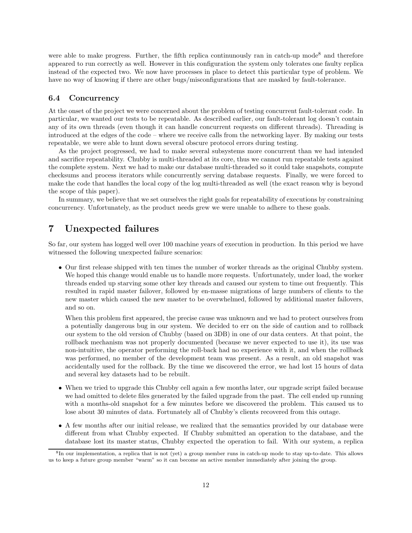were able to make progress. Further, the fifth replica continunously ran in catch-up mode<sup>8</sup> and therefore appeared to run correctly as well. However in this configuration the system only tolerates one faulty replica instead of the expected two. We now have processes in place to detect this particular type of problem. We have no way of knowing if there are other bugs/misconfigurations that are masked by fault-tolerance.

#### 6.4 Concurrency

At the onset of the project we were concerned about the problem of testing concurrent fault-tolerant code. In particular, we wanted our tests to be repeatable. As described earlier, our fault-tolerant log doesn't contain any of its own threads (even though it can handle concurrent requests on different threads). Threading is introduced at the edges of the code – where we receive calls from the networking layer. By making our tests repeatable, we were able to hunt down several obscure protocol errors during testing.

As the project progressed, we had to make several subsystems more concurrent than we had intended and sacrifice repeatability. Chubby is multi-threaded at its core, thus we cannot run repeatable tests against the complete system. Next we had to make our database multi-threaded so it could take snapshots, compute checksums and process iterators while concurrently serving database requests. Finally, we were forced to make the code that handles the local copy of the log multi-threaded as well (the exact reason why is beyond the scope of this paper).

In summary, we believe that we set ourselves the right goals for repeatability of executions by constraining concurrency. Unfortunately, as the product needs grew we were unable to adhere to these goals.

# 7 Unexpected failures

So far, our system has logged well over 100 machine years of execution in production. In this period we have witnessed the following unexpected failure scenarios:

• Our first release shipped with ten times the number of worker threads as the original Chubby system. We hoped this change would enable us to handle more requests. Unfortunately, under load, the worker threads ended up starving some other key threads and caused our system to time out frequently. This resulted in rapid master failover, followed by en-masse migrations of large numbers of clients to the new master which caused the new master to be overwhelmed, followed by additional master failovers, and so on.

When this problem first appeared, the precise cause was unknown and we had to protect ourselves from a potentially dangerous bug in our system. We decided to err on the side of caution and to rollback our system to the old version of Chubby (based on 3DB) in one of our data centers. At that point, the rollback mechanism was not properly documented (because we never expected to use it), its use was non-intuitive, the operator performing the roll-back had no experience with it, and when the rollback was performed, no member of the development team was present. As a result, an old snapshot was accidentally used for the rollback. By the time we discovered the error, we had lost 15 hours of data and several key datasets had to be rebuilt.

- When we tried to upgrade this Chubby cell again a few months later, our upgrade script failed because we had omitted to delete files generated by the failed upgrade from the past. The cell ended up running with a months-old snapshot for a few minutes before we discovered the problem. This caused us to lose about 30 minutes of data. Fortunately all of Chubby's clients recovered from this outage.
- A few months after our initial release, we realized that the semantics provided by our database were different from what Chubby expected. If Chubby submitted an operation to the database, and the database lost its master status, Chubby expected the operation to fail. With our system, a replica

<sup>&</sup>lt;sup>8</sup>In our implementation, a replica that is not (yet) a group member runs in catch-up mode to stay up-to-date. This allows us to keep a future group member "warm" so it can become an active member immediately after joining the group.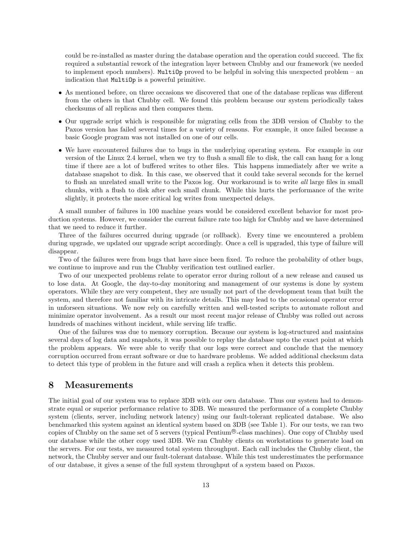could be re-installed as master during the database operation and the operation could succeed. The fix required a substantial rework of the integration layer between Chubby and our framework (we needed to implement epoch numbers). MultiOp proved to be helpful in solving this unexpected problem – an indication that MultiOp is a powerful primitive.

- As mentioned before, on three occasions we discovered that one of the database replicas was different from the others in that Chubby cell. We found this problem because our system periodically takes checksums of all replicas and then compares them.
- Our upgrade script which is responsible for migrating cells from the 3DB version of Chubby to the Paxos version has failed several times for a variety of reasons. For example, it once failed because a basic Google program was not installed on one of our cells.
- We have encountered failures due to bugs in the underlying operating system. For example in our version of the Linux 2.4 kernel, when we try to flush a small file to disk, the call can hang for a long time if there are a lot of buffered writes to other files. This happens immediately after we write a database snapshot to disk. In this case, we observed that it could take several seconds for the kernel to flush an unrelated small write to the Paxos log. Our workaround is to write all large files in small chunks, with a flush to disk after each small chunk. While this hurts the performance of the write slightly, it protects the more critical log writes from unexpected delays.

A small number of failures in 100 machine years would be considered excellent behavior for most production systems. However, we consider the current failure rate too high for Chubby and we have determined that we need to reduce it further.

Three of the failures occurred during upgrade (or rollback). Every time we encountered a problem during upgrade, we updated our upgrade script accordingly. Once a cell is upgraded, this type of failure will disappear.

Two of the failures were from bugs that have since been fixed. To reduce the probability of other bugs, we continue to improve and run the Chubby verification test outlined earlier.

Two of our unexpected problems relate to operator error during rollout of a new release and caused us to lose data. At Google, the day-to-day monitoring and management of our systems is done by system operators. While they are very competent, they are usually not part of the development team that built the system, and therefore not familiar with its intricate details. This may lead to the occasional operator error in unforseen situations. We now rely on carefully written and well-tested scripts to automate rollout and minimize operator involvement. As a result our most recent major release of Chubby was rolled out across hundreds of machines without incident, while serving life traffic.

One of the failures was due to memory corruption. Because our system is log-structured and maintains several days of log data and snapshots, it was possible to replay the database upto the exact point at which the problem appears. We were able to verify that our logs were correct and conclude that the memory corruption occurred from errant software or due to hardware problems. We added additional checksum data to detect this type of problem in the future and will crash a replica when it detects this problem.

### 8 Measurements

The initial goal of our system was to replace 3DB with our own database. Thus our system had to demonstrate equal or superior performance relative to 3DB. We measured the performance of a complete Chubby system (clients, server, including network latency) using our fault-tolerant replicated database. We also benchmarked this system against an identical system based on 3DB (see Table 1). For our tests, we ran two copies of Chubby on the same set of 5 servers (typical Pentium <sup>R</sup> -class machines). One copy of Chubby used our database while the other copy used 3DB. We ran Chubby clients on workstations to generate load on the servers. For our tests, we measured total system throughput. Each call includes the Chubby client, the network, the Chubby server and our fault-tolerant database. While this test underestimates the performance of our database, it gives a sense of the full system throughput of a system based on Paxos.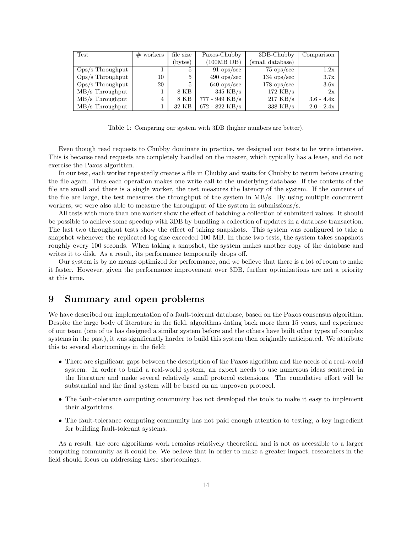| Test               | $#$ workers | file size | Paxos-Chubby          | 3DB-Chubby           | Comparison   |
|--------------------|-------------|-----------|-----------------------|----------------------|--------------|
|                    |             | (bytes)   | (100MB)               | (small database)     |              |
| Ops/s Throughput   |             | 5         | $91$ ops/sec          | $75 \text{ ops/sec}$ | 1.2x         |
| $Ops/s$ Throughput | 10          | 5         | $490 \text{ ops/sec}$ | $134$ ops/sec        | 3.7x         |
| $Ops/s$ Throughput | 20          | 5         | $640$ ops/sec         | $178$ ops/sec        | 3.6x         |
| $MB/s$ Throughput  |             | 8 KB      | $345$ KB/s            | $172$ KB/s           | 2x           |
| MB/s Throughput    | 4           | 8 KB      | 777 - 949 KB/s        | $217$ KB/s           | $3.6 - 4.4x$ |
| $MB/s$ Throughput  |             | 32 KB     | $672 - 822$ KB/s      | $338$ KB/s           | $2.0 - 2.4x$ |

Table 1: Comparing our system with 3DB (higher numbers are better).

Even though read requests to Chubby dominate in practice, we designed our tests to be write intensive. This is because read requests are completely handled on the master, which typically has a lease, and do not exercise the Paxos algorithm.

In our test, each worker repeatedly creates a file in Chubby and waits for Chubby to return before creating the file again. Thus each operation makes one write call to the underlying database. If the contents of the file are small and there is a single worker, the test measures the latency of the system. If the contents of the file are large, the test measures the throughput of the system in MB/s. By using multiple concurrent workers, we were also able to measure the throughput of the system in submissions/s.

All tests with more than one worker show the effect of batching a collection of submitted values. It should be possible to achieve some speedup with 3DB by bundling a collection of updates in a database transaction. The last two throughput tests show the effect of taking snapshots. This system was configured to take a snapshot whenever the replicated log size exceeded 100 MB. In these two tests, the system takes snapshots roughly every 100 seconds. When taking a snapshot, the system makes another copy of the database and writes it to disk. As a result, its performance temporarily drops off.

Our system is by no means optimized for performance, and we believe that there is a lot of room to make it faster. However, given the performance improvement over 3DB, further optimizations are not a priority at this time.

# 9 Summary and open problems

We have described our implementation of a fault-tolerant database, based on the Paxos consensus algorithm. Despite the large body of literature in the field, algorithms dating back more then 15 years, and experience of our team (one of us has designed a similar system before and the others have built other types of complex systems in the past), it was significantly harder to build this system then originally anticipated. We attribute this to several shortcomings in the field:

- There are significant gaps between the description of the Paxos algorithm and the needs of a real-world system. In order to build a real-world system, an expert needs to use numerous ideas scattered in the literature and make several relatively small protocol extensions. The cumulative effort will be substantial and the final system will be based on an unproven protocol.
- The fault-tolerance computing community has not developed the tools to make it easy to implement their algorithms.
- The fault-tolerance computing community has not paid enough attention to testing, a key ingredient for building fault-tolerant systems.

As a result, the core algorithms work remains relatively theoretical and is not as accessible to a larger computing community as it could be. We believe that in order to make a greater impact, researchers in the field should focus on addressing these shortcomings.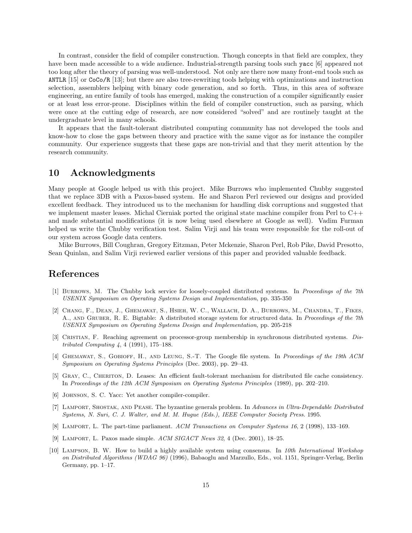In contrast, consider the field of compiler construction. Though concepts in that field are complex, they have been made accessible to a wide audience. Industrial-strength parsing tools such yacc [6] appeared not too long after the theory of parsing was well-understood. Not only are there now many front-end tools such as ANTLR [15] or CoCo/R [13]; but there are also tree-rewriting tools helping with optimizations and instruction selection, assemblers helping with binary code generation, and so forth. Thus, in this area of software engineering, an entire family of tools has emerged, making the construction of a compiler significantly easier or at least less error-prone. Disciplines within the field of compiler construction, such as parsing, which were once at the cutting edge of research, are now considered "solved" and are routinely taught at the undergraduate level in many schools.

It appears that the fault-tolerant distributed computing community has not developed the tools and know-how to close the gaps between theory and practice with the same vigor as for instance the compiler community. Our experience suggests that these gaps are non-trivial and that they merit attention by the research community.

### 10 Acknowledgments

Many people at Google helped us with this project. Mike Burrows who implemented Chubby suggested that we replace 3DB with a Paxos-based system. He and Sharon Perl reviewed our designs and provided excellent feedback. They introduced us to the mechanism for handling disk corruptions and suggested that we implement master leases. Michal Cierniak ported the original state machine compiler from Perl to  $C_{++}$ and made substantial modifications (it is now being used elsewhere at Google as well). Vadim Furman helped us write the Chubby verification test. Salim Virji and his team were responsible for the roll-out of our system across Google data centers.

Mike Burrows, Bill Coughran, Gregory Eitzman, Peter Mckenzie, Sharon Perl, Rob Pike, David Presotto, Sean Quinlan, and Salim Virji reviewed earlier versions of this paper and provided valuable feedback.

### References

- [1] Burrows, M. The Chubby lock service for loosely-coupled distributed systems. In Proceedings of the 7th USENIX Symposium on Operating Systems Design and Implementation, pp. 335-350
- [2] Chang, F., Dean, J., Ghemawat, S., Hsieh, W. C., Wallach, D. A., Burrows, M., Chandra, T., Fikes, A., AND GRUBER, R. E. Bigtable: A distributed storage system for structured data. In Proceedings of the 7th USENIX Symposium on Operating Systems Design and Implementation, pp. 205-218
- [3] CRISTIAN, F. Reaching agreement on processor-group membership in synchronous distributed systems. Distributed Computing 4, 4 (1991), 175–188.
- [4] GHEMAWAT, S., GOBIOFF, H., AND LEUNG, S.-T. The Google file system. In Proceedings of the 19th ACM Symposium on Operating Systems Principles (Dec. 2003), pp. 29–43.
- [5] Gray, C., Cheriton, D. Leases: An efficient fault-tolerant mechanism for distributed file cache consistency. In Proceedings of the 12th ACM Symposium on Operating Systems Principles (1989), pp. 202–210.
- [6] JOHNSON, S. C. Yacc: Yet another compiler-compiler.
- [7] LAMPORT, SHOSTAK, AND PEASE. The byzantine generals problem. In Advances in Ultra-Dependable Distributed Systems, N. Suri, C. J. Walter, and M. M. Hugue (Eds.), IEEE Computer Society Press. 1995.
- [8] Lamport, L. The part-time parliament. ACM Transactions on Computer Systems 16, 2 (1998), 133–169.
- [9] LAMPORT, L. Paxos made simple.  $ACM SIGACT$  News 32, 4 (Dec. 2001), 18–25.
- [10] LAMPSON, B. W. How to build a highly available system using consensus. In 10th International Workshop on Distributed Algorithms (WDAG 96) (1996), Babaoglu and Marzullo, Eds., vol. 1151, Springer-Verlag, Berlin Germany, pp. 1–17.